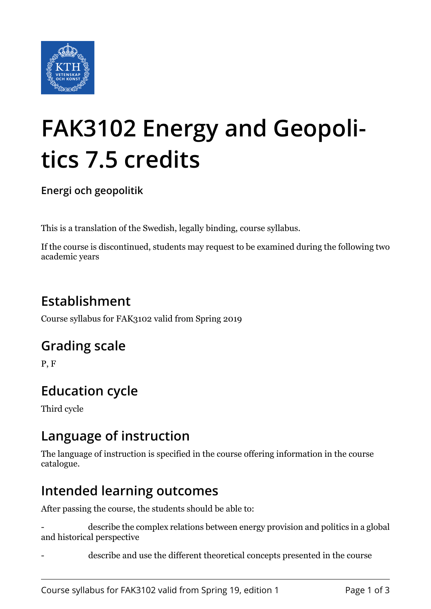

# **FAK3102 Energy and Geopolitics 7.5 credits**

**Energi och geopolitik**

This is a translation of the Swedish, legally binding, course syllabus.

If the course is discontinued, students may request to be examined during the following two academic years

# **Establishment**

Course syllabus for FAK3102 valid from Spring 2019

#### **Grading scale**

P, F

# **Education cycle**

Third cycle

#### **Language of instruction**

The language of instruction is specified in the course offering information in the course catalogue.

#### **Intended learning outcomes**

After passing the course, the students should be able to:

describe the complex relations between energy provision and politics in a global and historical perspective

describe and use the different theoretical concepts presented in the course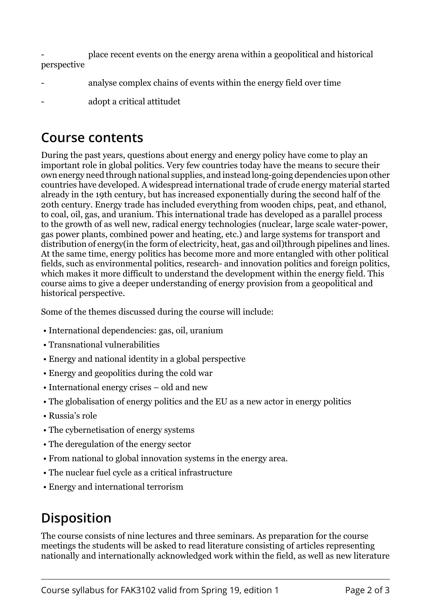- place recent events on the energy arena within a geopolitical and historical perspective

- analyse complex chains of events within the energy field over time
- adopt a critical attitudet

#### **Course contents**

During the past years, questions about energy and energy policy have come to play an important role in global politics. Very few countries today have the means to secure their own energy need through national supplies, and instead long-going dependencies upon other countries have developed. A widespread international trade of crude energy material started already in the 19th century, but has increased exponentially during the second half of the 20th century. Energy trade has included everything from wooden chips, peat, and ethanol, to coal, oil, gas, and uranium. This international trade has developed as a parallel process to the growth of as well new, radical energy technologies (nuclear, large scale water-power, gas power plants, combined power and heating, etc.) and large systems for transport and distribution of energy(in the form of electricity, heat, gas and oil)through pipelines and lines. At the same time, energy politics has become more and more entangled with other political fields, such as environmental politics, research- and innovation politics and foreign politics, which makes it more difficult to understand the development within the energy field. This course aims to give a deeper understanding of energy provision from a geopolitical and historical perspective.

Some of the themes discussed during the course will include:

- International dependencies: gas, oil, uranium
- Transnational vulnerabilities
- Energy and national identity in a global perspective
- Energy and geopolitics during the cold war
- International energy crises old and new
- The globalisation of energy politics and the EU as a new actor in energy politics
- Russia's role
- The cybernetisation of energy systems
- The deregulation of the energy sector
- From national to global innovation systems in the energy area.
- The nuclear fuel cycle as a critical infrastructure
- Energy and international terrorism

## **Disposition**

The course consists of nine lectures and three seminars. As preparation for the course meetings the students will be asked to read literature consisting of articles representing nationally and internationally acknowledged work within the field, as well as new literature